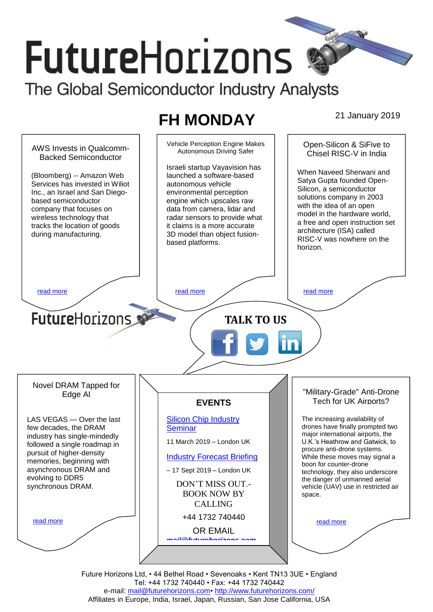# **FutureHorizons** The Global Semiconductor Industry Analysts

## **FH MONDAY** 21 January 2019

Vehicle Perception Engine Makes Open-Silicon & SiFive to AWS Invests in Qualcomm-Autonomous Driving Safer Chisel RISC-V in India Backed Semiconductor Israeli startup Vayavision has When Naveed Sherwani and (Bloomberg) -- Amazon Web launched a software-based Satya Gupta founded Open-Services has invested in Wiliot autonomous vehicle Silicon, a semiconductor Inc., an Israel and San Diegoenvironmental perception solutions company in 2003 based semiconductor engine which upscales raw with the idea of an open company that focuses on data from camera, lidar and model in the hardware world, wireless technology that radar sensors to provide what a free and open instruction set tracks the location of goods it claims is a more accurate architecture (ISA) called during manufacturing. 3D model than object fusion-RISC-V was nowhere on the based platforms. horizon. [read more](#page-1-1) that the second contract the second contract of the read more that the read more that the read more **Future**Horizons **TALK TO US** Novel DRAM Tapped for "Military-Grade" Anti-Drone Edge AI Tech for UK Airports? **EVENTS** LAS VEGAS — Over the last [Silicon Chip Industry](http://www.futurehorizons.com/page/12/silicon-chip-training)  The increasing availability of few decades, the DRAM drones have finally prompted two **[Seminar](http://www.futurehorizons.com/page/12/silicon-chip-training)** major international airports, the industry has single-mindedly 11 March 2019 – London UK U.K.'s Heathrow and Gatwick, to followed a single roadmap in procure anti-drone systems. pursuit of higher-density [Industry Forecast Briefing](http://www.futurehorizons.com/page/13/Semiconductor-Market-Forecast-Seminar) While these moves may signal a memories, beginning with boon for counter-drone asynchronous DRAM and – 17 Sept 2019 – London UK technology, they also underscore evolving to DDR5 the danger of unmanned aerial DON'T MISS OUT. synchronous DRAM.vehicle (UAV) use in restricted air BOOK NOW BY space. CALLING +44 1732 740440 [read more](#page-1-3) [read more](#page-1-4) OR EMAIL *[mail@futurehorizons.com](mailto:mail@futurehorizons.com)*

Future Horizons Ltd, • 44 Bethel Road • Sevenoaks • Kent TN13 3UE • England Tel: +44 1732 740440 • Fax: +44 1732 740442 e-mail: mail@futurehorizons.com• http://www.futurehorizons.com/ Affiliates in Europe, India, Israel, Japan, Russian, San Jose California, USA